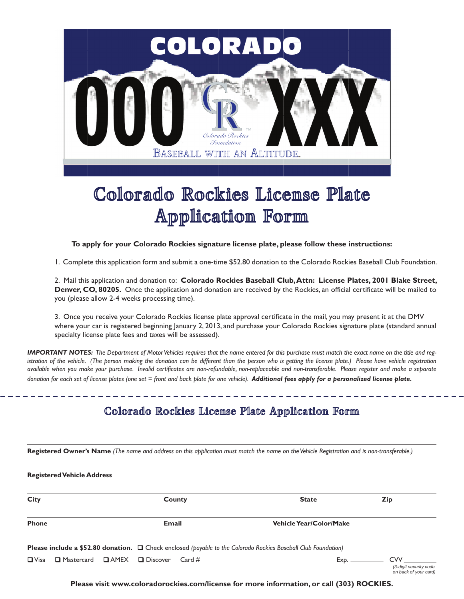

# Colorado Rockies License Plate Application Form

**To apply for your Colorado Rockies signature license plate, please follow these instructions:**

1. Complete this application form and submit a one-time \$52.80 donation to the Colorado Rockies Baseball Club Foundation.

2. Mail this application and donation to: **Colorado Rockies Baseball Club, Attn: License Plates, 2001 Blake Street, Denver, CO, 80205.** Once the application and donation are received by the Rockies, an official certificate will be mailed to you (please allow 2-4 weeks processing time).

3. Once you receive your Colorado Rockies license plate approval certificate in the mail, you may present it at the DMV where your car is registered beginning January 2, 2013, and purchase your Colorado Rockies signature plate (standard annual specialty license plate fees and taxes will be assessed).

*IMPORTANT NOTES: The Department of Motor Vehicles requires that the name entered for this purchase must match the exact name on the title and registration of the vehicle. (The person making the donation can be different than the person who is getting the license plate.) Please have vehicle registration available when you make your purchase. Invalid certificates are non-refundable, non-replaceable and non-transferable. Please register and make a separate donation for each set of license plates (one set = front and back plate for one vehicle). Additional fees apply for a personalized license plate.*

# Colorado Rockies License Plate Application Form

**Registered Owner's Name** *(The name and address on this application must match the name on the Vehicle Registration and is non-transferable.)*

| <b>Registered Vehicle Address</b>            |        |                                                                                                                     |                                                        |
|----------------------------------------------|--------|---------------------------------------------------------------------------------------------------------------------|--------------------------------------------------------|
| <b>City</b>                                  | County | <b>State</b>                                                                                                        | <b>Zip</b>                                             |
| <b>Phone</b>                                 | Email  | <b>Vehicle Year/Color/Make</b>                                                                                      |                                                        |
|                                              |        | Please include a \$52.80 donation. $\Box$ Check enclosed (payable to the Colorado Rockies Baseball Club Foundation) |                                                        |
| $\Box$ Visa<br>$\Box$ Mastercard $\Box$ AMEX |        | Exp.                                                                                                                | CVV<br>(3-digit security code<br>on back of your card) |

**Please visit www.coloradorockies.com/license for more information, or call (303) ROCKIES.**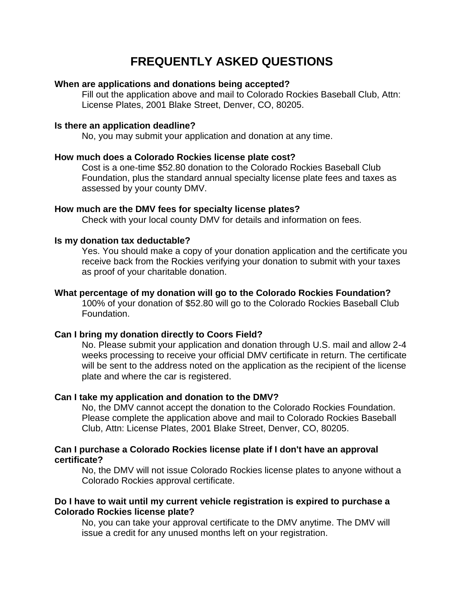# **FREQUENTLY ASKED QUESTIONS**

# **When are applications and donations being accepted?**

Fill out the application above and mail to Colorado Rockies Baseball Club, Attn: License Plates, 2001 Blake Street, Denver, CO, 80205.

#### **Is there an application deadline?**

No, you may submit your application and donation at any time.

#### **How much does a Colorado Rockies license plate cost?**

Cost is a one-time \$52.80 donation to the Colorado Rockies Baseball Club Foundation, plus the standard annual specialty license plate fees and taxes as assessed by your county DMV.

### **How much are the DMV fees for specialty license plates?**

Check with your local county DMV for details and information on fees.

#### **Is my donation tax deductable?**

Yes. You should make a copy of your donation application and the certificate you receive back from the Rockies verifying your donation to submit with your taxes as proof of your charitable donation.

## **What percentage of my donation will go to the Colorado Rockies Foundation?**

100% of your donation of \$52.80 will go to the Colorado Rockies Baseball Club Foundation.

## **Can I bring my donation directly to Coors Field?**

No. Please submit your application and donation through U.S. mail and allow 2-4 weeks processing to receive your official DMV certificate in return. The certificate will be sent to the address noted on the application as the recipient of the license plate and where the car is registered.

## **Can I take my application and donation to the DMV?**

No, the DMV cannot accept the donation to the Colorado Rockies Foundation. Please complete the application above and mail to Colorado Rockies Baseball Club, Attn: License Plates, 2001 Blake Street, Denver, CO, 80205.

## **Can I purchase a Colorado Rockies license plate if I don't have an approval certificate?**

No, the DMV will not issue Colorado Rockies license plates to anyone without a Colorado Rockies approval certificate.

## **Do I have to wait until my current vehicle registration is expired to purchase a Colorado Rockies license plate?**

No, you can take your approval certificate to the DMV anytime. The DMV will issue a credit for any unused months left on your registration.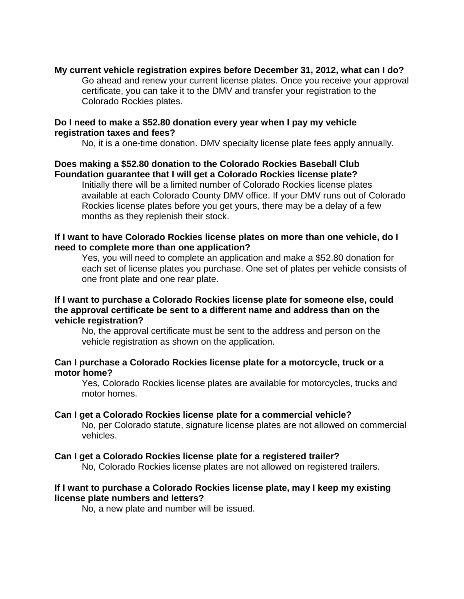# **My current vehicle registration expires before December 31, 2012, what can I do?**

Go ahead and renew your current license plates. Once you receive your approval certificate, you can take it to the DMV and transfer your registration to the Colorado Rockies plates.

# **Do I need to make a \$52.80 donation every year when I pay my vehicle registration taxes and fees?**

No, it is a one-time donation. DMV specialty license plate fees apply annually.

# **Does making a \$52.80 donation to the Colorado Rockies Baseball Club Foundation guarantee that I will get a Colorado Rockies license plate?**

Initially there will be a limited number of Colorado Rockies license plates available at each Colorado County DMV office. If your DMV runs out of Colorado Rockies license plates before you get yours, there may be a delay of a few months as they replenish their stock.

# **If I want to have Colorado Rockies license plates on more than one vehicle, do I need to complete more than one application?**

Yes, you will need to complete an application and make a \$52.80 donation for each set of license plates you purchase. One set of plates per vehicle consists of one front plate and one rear plate.

# **If I want to purchase a Colorado Rockies license plate for someone else, could the approval certificate be sent to a different name and address than on the vehicle registration?**

No, the approval certificate must be sent to the address and person on the vehicle registration as shown on the application.

# **Can I purchase a Colorado Rockies license plate for a motorcycle, truck or a motor home?**

Yes, Colorado Rockies license plates are available for motorcycles, trucks and motor homes.

## **Can I get a Colorado Rockies license plate for a commercial vehicle?**

No, per Colorado statute, signature license plates are not allowed on commercial vehicles.

## **Can I get a Colorado Rockies license plate for a registered trailer?**

No, Colorado Rockies license plates are not allowed on registered trailers.

# **If I want to purchase a Colorado Rockies license plate, may I keep my existing license plate numbers and letters?**

No, a new plate and number will be issued.